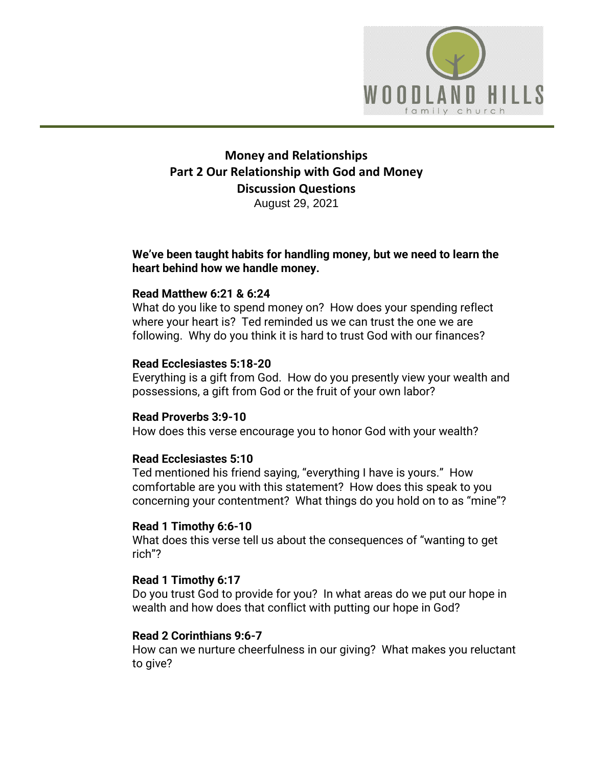

# **Money and Relationships Part 2 Our Relationship with God and Money Discussion Questions** August 29, 2021

### **We've been taught habits for handling money, but we need to learn the heart behind how we handle money.**

## **Read Matthew 6:21 & 6:24**

What do you like to spend money on? How does your spending reflect where your heart is? Ted reminded us we can trust the one we are following. Why do you think it is hard to trust God with our finances?

## **Read Ecclesiastes 5:18-20**

Everything is a gift from God. How do you presently view your wealth and possessions, a gift from God or the fruit of your own labor?

### **Read Proverbs 3:9-10**

How does this verse encourage you to honor God with your wealth?

#### **Read Ecclesiastes 5:10**

Ted mentioned his friend saying, "everything I have is yours." How comfortable are you with this statement? How does this speak to you concerning your contentment? What things do you hold on to as "mine"?

#### **Read 1 Timothy 6:6-10**

What does this verse tell us about the consequences of "wanting to get rich"?

#### **Read 1 Timothy 6:17**

Do you trust God to provide for you? In what areas do we put our hope in wealth and how does that conflict with putting our hope in God?

#### **Read 2 Corinthians 9:6-7**

How can we nurture cheerfulness in our giving? What makes you reluctant to give?